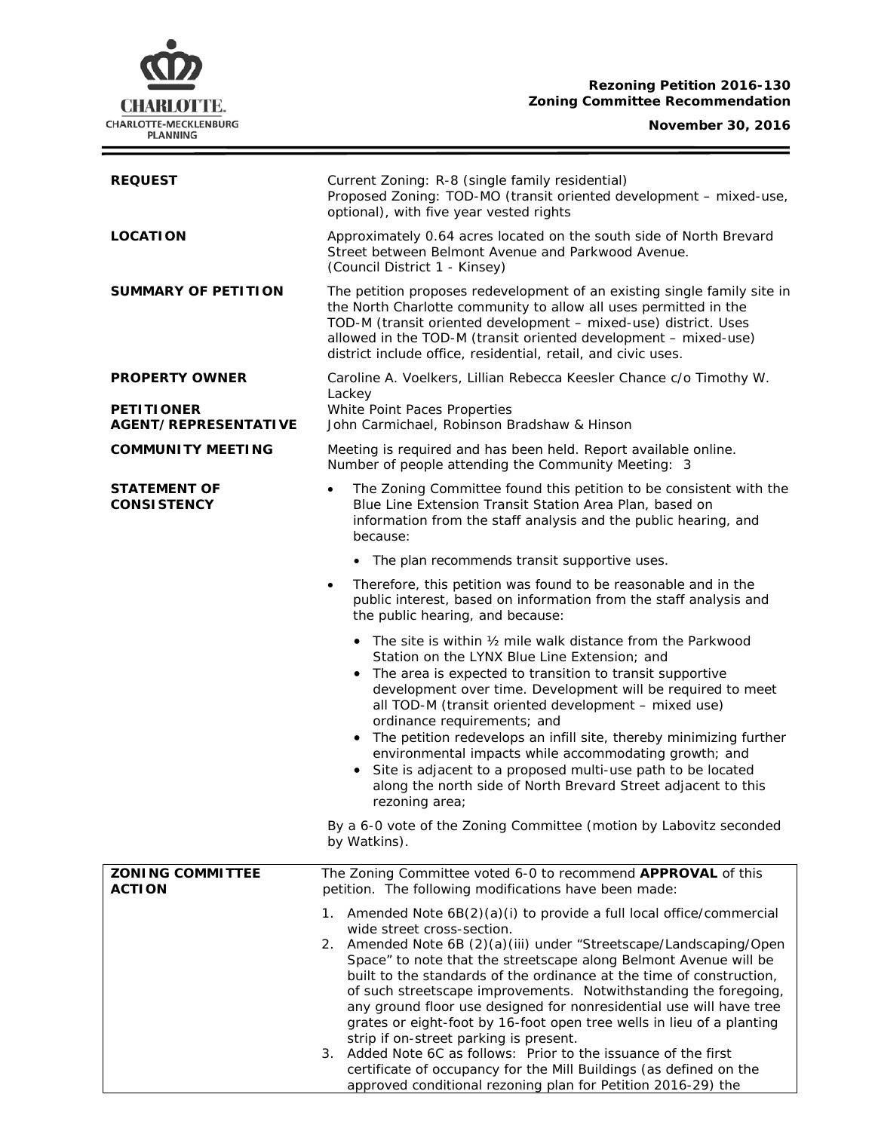# **CHARLOTTE.** CHARLOTTE-MECKLENBURG<br>PLANNING

### **Rezoning Petition 2016-130 Zoning Committee Recommendation**

# **November 30, 2016**

Ξ

| <b>REQUEST</b>                                   | Current Zoning: R-8 (single family residential)<br>Proposed Zoning: TOD-MO (transit oriented development - mixed-use,<br>optional), with five year vested rights                                                                                                                                                                                                                                                                                                                                                                                                                                                                                                                                                                                                                                   |  |  |
|--------------------------------------------------|----------------------------------------------------------------------------------------------------------------------------------------------------------------------------------------------------------------------------------------------------------------------------------------------------------------------------------------------------------------------------------------------------------------------------------------------------------------------------------------------------------------------------------------------------------------------------------------------------------------------------------------------------------------------------------------------------------------------------------------------------------------------------------------------------|--|--|
| <b>LOCATION</b>                                  | Approximately 0.64 acres located on the south side of North Brevard<br>Street between Belmont Avenue and Parkwood Avenue.<br>(Council District 1 - Kinsey)                                                                                                                                                                                                                                                                                                                                                                                                                                                                                                                                                                                                                                         |  |  |
| <b>SUMMARY OF PETITION</b>                       | The petition proposes redevelopment of an existing single family site in<br>the North Charlotte community to allow all uses permitted in the<br>TOD-M (transit oriented development - mixed-use) district. Uses<br>allowed in the TOD-M (transit oriented development - mixed-use)<br>district include office, residential, retail, and civic uses.                                                                                                                                                                                                                                                                                                                                                                                                                                                |  |  |
| <b>PROPERTY OWNER</b>                            | Caroline A. Voelkers, Lillian Rebecca Keesler Chance c/o Timothy W.                                                                                                                                                                                                                                                                                                                                                                                                                                                                                                                                                                                                                                                                                                                                |  |  |
| <b>PETITIONER</b><br><b>AGENT/REPRESENTATIVE</b> | Lackey<br>White Point Paces Properties<br>John Carmichael, Robinson Bradshaw & Hinson                                                                                                                                                                                                                                                                                                                                                                                                                                                                                                                                                                                                                                                                                                              |  |  |
| <b>COMMUNITY MEETING</b>                         | Meeting is required and has been held. Report available online.<br>Number of people attending the Community Meeting: 3                                                                                                                                                                                                                                                                                                                                                                                                                                                                                                                                                                                                                                                                             |  |  |
| <b>STATEMENT OF</b><br><b>CONSISTENCY</b>        | The Zoning Committee found this petition to be consistent with the<br>$\bullet$<br>Blue Line Extension Transit Station Area Plan, based on<br>information from the staff analysis and the public hearing, and<br>because:                                                                                                                                                                                                                                                                                                                                                                                                                                                                                                                                                                          |  |  |
|                                                  | • The plan recommends transit supportive uses.                                                                                                                                                                                                                                                                                                                                                                                                                                                                                                                                                                                                                                                                                                                                                     |  |  |
|                                                  | Therefore, this petition was found to be reasonable and in the<br>$\bullet$<br>public interest, based on information from the staff analysis and<br>the public hearing, and because:                                                                                                                                                                                                                                                                                                                                                                                                                                                                                                                                                                                                               |  |  |
|                                                  | • The site is within 1/2 mile walk distance from the Parkwood<br>Station on the LYNX Blue Line Extension; and<br>The area is expected to transition to transit supportive<br>development over time. Development will be required to meet<br>all TOD-M (transit oriented development - mixed use)<br>ordinance requirements; and<br>• The petition redevelops an infill site, thereby minimizing further<br>environmental impacts while accommodating growth; and<br>Site is adjacent to a proposed multi-use path to be located<br>along the north side of North Brevard Street adjacent to this<br>rezoning area;                                                                                                                                                                                 |  |  |
|                                                  | By a 6-0 vote of the Zoning Committee (motion by Labovitz seconded<br>by Watkins).                                                                                                                                                                                                                                                                                                                                                                                                                                                                                                                                                                                                                                                                                                                 |  |  |
| <b>ZONING COMMITTEE</b><br><b>ACTION</b>         | The Zoning Committee voted 6-0 to recommend APPROVAL of this<br>petition. The following modifications have been made:                                                                                                                                                                                                                                                                                                                                                                                                                                                                                                                                                                                                                                                                              |  |  |
|                                                  | Amended Note 6B(2)(a)(i) to provide a full local office/commercial<br>1.<br>wide street cross-section.<br>2. Amended Note 6B (2)(a)(iii) under "Streetscape/Landscaping/Open<br>Space" to note that the streetscape along Belmont Avenue will be<br>built to the standards of the ordinance at the time of construction,<br>of such streetscape improvements. Notwithstanding the foregoing,<br>any ground floor use designed for nonresidential use will have tree<br>grates or eight-foot by 16-foot open tree wells in lieu of a planting<br>strip if on-street parking is present.<br>Added Note 6C as follows: Prior to the issuance of the first<br>З.<br>certificate of occupancy for the Mill Buildings (as defined on the<br>approved conditional rezoning plan for Petition 2016-29) the |  |  |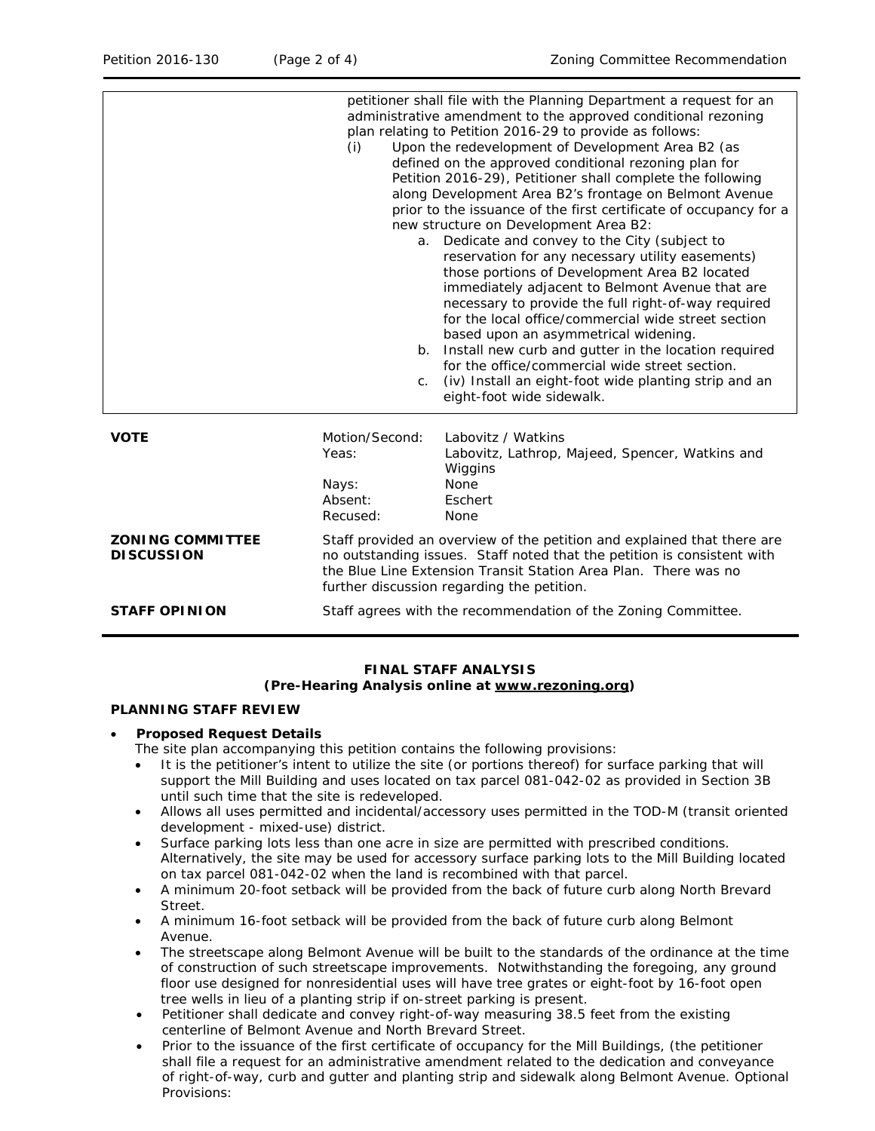|                                              | (i)<br>a.<br>b.                                                                                                                                                                                                                                                     | petitioner shall file with the Planning Department a request for an<br>administrative amendment to the approved conditional rezoning<br>plan relating to Petition 2016-29 to provide as follows:<br>Upon the redevelopment of Development Area B2 (as<br>defined on the approved conditional rezoning plan for<br>Petition 2016-29), Petitioner shall complete the following<br>along Development Area B2's frontage on Belmont Avenue<br>prior to the issuance of the first certificate of occupancy for a<br>new structure on Development Area B2:<br>Dedicate and convey to the City (subject to<br>reservation for any necessary utility easements)<br>those portions of Development Area B2 located<br>immediately adjacent to Belmont Avenue that are<br>necessary to provide the full right-of-way required<br>for the local office/commercial wide street section<br>based upon an asymmetrical widening.<br>Install new curb and gutter in the location required<br>for the office/commercial wide street section. |  |
|----------------------------------------------|---------------------------------------------------------------------------------------------------------------------------------------------------------------------------------------------------------------------------------------------------------------------|-----------------------------------------------------------------------------------------------------------------------------------------------------------------------------------------------------------------------------------------------------------------------------------------------------------------------------------------------------------------------------------------------------------------------------------------------------------------------------------------------------------------------------------------------------------------------------------------------------------------------------------------------------------------------------------------------------------------------------------------------------------------------------------------------------------------------------------------------------------------------------------------------------------------------------------------------------------------------------------------------------------------------------|--|
|                                              | C <sub>1</sub>                                                                                                                                                                                                                                                      | (iv) Install an eight-foot wide planting strip and an<br>eight-foot wide sidewalk.                                                                                                                                                                                                                                                                                                                                                                                                                                                                                                                                                                                                                                                                                                                                                                                                                                                                                                                                          |  |
| <b>VOTE</b>                                  | Motion/Second:<br>Yeas:<br>Nays:<br>Absent:<br>Recused:                                                                                                                                                                                                             | Labovitz / Watkins<br>Labovitz, Lathrop, Majeed, Spencer, Watkins and<br>Wiggins<br>None<br>Eschert<br><b>None</b>                                                                                                                                                                                                                                                                                                                                                                                                                                                                                                                                                                                                                                                                                                                                                                                                                                                                                                          |  |
| <b>ZONING COMMITTEE</b><br><b>DISCUSSION</b> | Staff provided an overview of the petition and explained that there are<br>no outstanding issues. Staff noted that the petition is consistent with<br>the Blue Line Extension Transit Station Area Plan. There was no<br>further discussion regarding the petition. |                                                                                                                                                                                                                                                                                                                                                                                                                                                                                                                                                                                                                                                                                                                                                                                                                                                                                                                                                                                                                             |  |
| <b>STAFF OPINION</b>                         | Staff agrees with the recommendation of the Zoning Committee.                                                                                                                                                                                                       |                                                                                                                                                                                                                                                                                                                                                                                                                                                                                                                                                                                                                                                                                                                                                                                                                                                                                                                                                                                                                             |  |

# **FINAL STAFF ANALYSIS**

#### **(Pre-Hearing Analysis online at [www.rezoning.org\)](http://www.rezoning.org/)**

#### **PLANNING STAFF REVIEW**

#### • **Proposed Request Details**

- The site plan accompanying this petition contains the following provisions:
- It is the petitioner's intent to utilize the site (or portions thereof) for surface parking that will support the Mill Building and uses located on tax parcel 081-042-02 as provided in Section 3B until such time that the site is redeveloped.
- Allows all uses permitted and incidental/accessory uses permitted in the TOD-M (transit oriented development - mixed-use) district.
- Surface parking lots less than one acre in size are permitted with prescribed conditions. Alternatively, the site may be used for accessory surface parking lots to the Mill Building located on tax parcel 081-042-02 when the land is recombined with that parcel.
- A minimum 20-foot setback will be provided from the back of future curb along North Brevard Street.
- A minimum 16-foot setback will be provided from the back of future curb along Belmont Avenue.
- The streetscape along Belmont Avenue will be built to the standards of the ordinance at the time of construction of such streetscape improvements. Notwithstanding the foregoing, any ground floor use designed for nonresidential uses will have tree grates or eight-foot by 16-foot open tree wells in lieu of a planting strip if on-street parking is present.
- Petitioner shall dedicate and convey right-of-way measuring 38.5 feet from the existing centerline of Belmont Avenue and North Brevard Street.
- Prior to the issuance of the first certificate of occupancy for the Mill Buildings, (the petitioner shall file a request for an administrative amendment related to the dedication and conveyance of right-of-way, curb and gutter and planting strip and sidewalk along Belmont Avenue. Optional Provisions: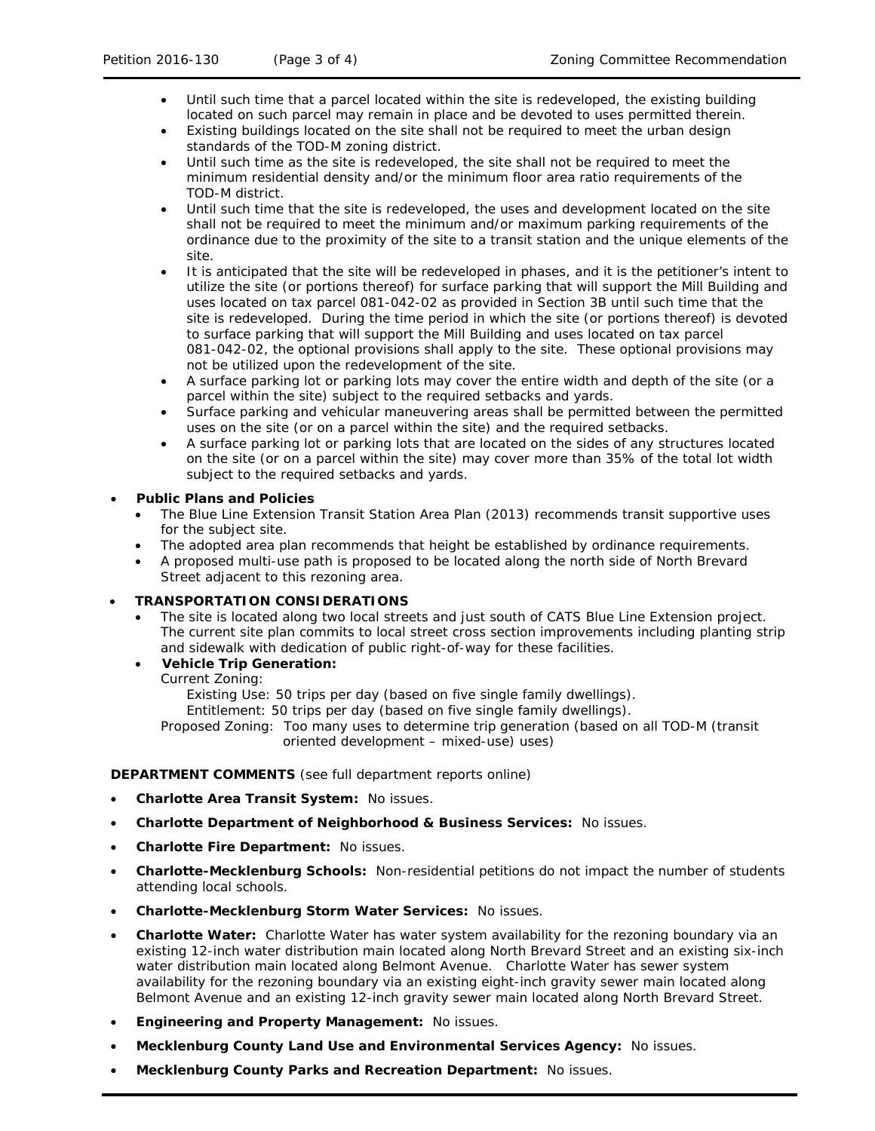- Until such time that a parcel located within the site is redeveloped, the existing building located on such parcel may remain in place and be devoted to uses permitted therein.
- Existing buildings located on the site shall not be required to meet the urban design standards of the TOD-M zoning district.
- Until such time as the site is redeveloped, the site shall not be required to meet the minimum residential density and/or the minimum floor area ratio requirements of the TOD-M district.
- Until such time that the site is redeveloped, the uses and development located on the site shall not be required to meet the minimum and/or maximum parking requirements of the ordinance due to the proximity of the site to a transit station and the unique elements of the site.
- It is anticipated that the site will be redeveloped in phases, and it is the petitioner's intent to utilize the site (or portions thereof) for surface parking that will support the Mill Building and uses located on tax parcel 081-042-02 as provided in Section 3B until such time that the site is redeveloped. During the time period in which the site (or portions thereof) is devoted to surface parking that will support the Mill Building and uses located on tax parcel 081-042-02, the optional provisions shall apply to the site. These optional provisions may not be utilized upon the redevelopment of the site.
- A surface parking lot or parking lots may cover the entire width and depth of the site (or a parcel within the site) subject to the required setbacks and yards.
- Surface parking and vehicular maneuvering areas shall be permitted between the permitted uses on the site (or on a parcel within the site) and the required setbacks.
- A surface parking lot or parking lots that are located on the sides of any structures located on the site (or on a parcel within the site) may cover more than 35% of the total lot width subject to the required setbacks and yards.

# • **Public Plans and Policies**

- The *Blue Line Extension Transit Station Area Plan* (2013) recommends transit supportive uses for the subject site.
- The adopted area plan recommends that height be established by ordinance requirements.
- A proposed multi-use path is proposed to be located along the north side of North Brevard Street adjacent to this rezoning area.

# • **TRANSPORTATION CONSIDERATIONS**

- The site is located along two local streets and just south of CATS Blue Line Extension project. The current site plan commits to local street cross section improvements including planting strip and sidewalk with dedication of public right-of-way for these facilities.
- **Vehicle Trip Generation:**

Current Zoning:

Existing Use: 50 trips per day (based on five single family dwellings).

Entitlement: 50 trips per day (based on five single family dwellings).

Proposed Zoning: Too many uses to determine trip generation (based on all TOD-M (transit oriented development – mixed-use) uses)

# **DEPARTMENT COMMENTS** (see full department reports online)

- **Charlotte Area Transit System:** No issues.
- **Charlotte Department of Neighborhood & Business Services:** No issues.
- **Charlotte Fire Department:** No issues.
- **Charlotte-Mecklenburg Schools:** Non-residential petitions do not impact the number of students attending local schools.
- **Charlotte-Mecklenburg Storm Water Services:** No issues.
- **Charlotte Water:** Charlotte Water has water system availability for the rezoning boundary via an existing 12-inch water distribution main located along North Brevard Street and an existing six-inch water distribution main located along Belmont Avenue. Charlotte Water has sewer system availability for the rezoning boundary via an existing eight-inch gravity sewer main located along Belmont Avenue and an existing 12-inch gravity sewer main located along North Brevard Street.
- **Engineering and Property Management:** No issues.
- **Mecklenburg County Land Use and Environmental Services Agency:** No issues.
- **Mecklenburg County Parks and Recreation Department:** No issues.